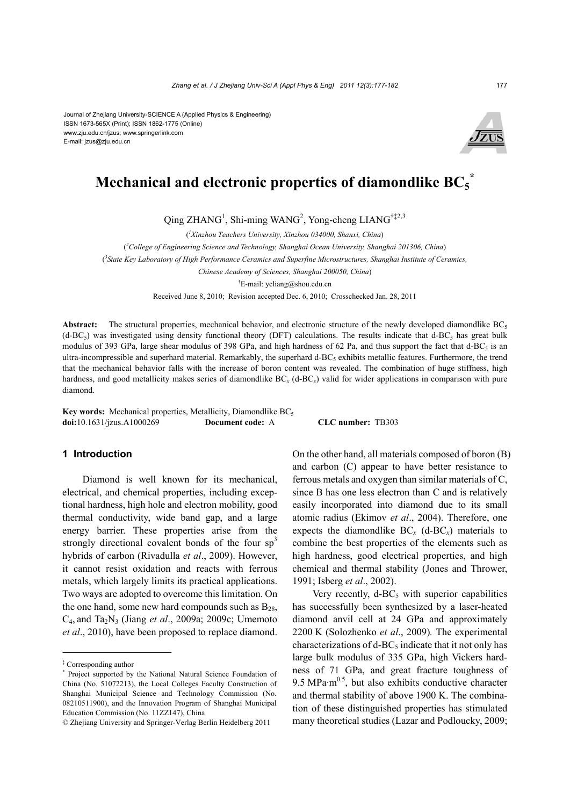Journal of Zhejiang University-SCIENCE A (Applied Physics & Engineering) ISSN 1673-565X (Print); ISSN 1862-1775 (Online) www.zju.edu.cn/jzus; www.springerlink.com E-mail: jzus@zju.edu.cn



# **Mechanical and electronic properties of diamondlike BC5 \***

Qing ZHANG<sup>1</sup>, Shi-ming WANG<sup>2</sup>, Yong-cheng LIANG<sup>†‡2,3</sup>

( *1 Xinzhou Teachers University, Xinzhou 034000, Shanxi, China*)

( *2 College of Engineering Science and Technology, Shanghai Ocean University, Shanghai 201306, China*)

( *3 State Key Laboratory of High Performance Ceramics and Superfine Microstructures, Shanghai Institute of Ceramics,* 

*Chinese Academy of Sciences, Shanghai 200050, China*)

† E-mail: ycliang@shou.edu.cn

Received June 8, 2010; Revision accepted Dec. 6, 2010; Crosschecked Jan. 28, 2011

**Abstract:** The structural properties, mechanical behavior, and electronic structure of the newly developed diamondlike BC<sub>5</sub>  $(d-BC<sub>5</sub>)$  was investigated using density functional theory (DFT) calculations. The results indicate that  $d-BC<sub>5</sub>$  has great bulk modulus of 393 GPa, large shear modulus of 398 GPa, and high hardness of 62 Pa, and thus support the fact that  $d$ -BC<sub>5</sub> is an ultra-incompressible and superhard material. Remarkably, the superhard d-BC<sub>5</sub> exhibits metallic features. Furthermore, the trend that the mechanical behavior falls with the increase of boron content was revealed. The combination of huge stiffness, high hardness, and good metallicity makes series of diamondlike BC*x* (d-BC*x*) valid for wider applications in comparison with pure diamond.

Key words: Mechanical properties, Metallicity, Diamondlike BC<sub>5</sub> **doi:**10.1631/jzus.A1000269 **Document code:** A **CLC number:** TB303

## **1 Introduction**

Diamond is well known for its mechanical, electrical, and chemical properties, including exceptional hardness, high hole and electron mobility, good thermal conductivity, wide band gap, and a large energy barrier. These properties arise from the strongly directional covalent bonds of the four  $sp<sup>3</sup>$ hybrids of carbon (Rivadulla *et al*., 2009). However, it cannot resist oxidation and reacts with ferrous metals, which largely limits its practical applications. Two ways are adopted to overcome this limitation. On the one hand, some new hard compounds such as  $B_{28}$ , C4, and Ta2N3 (Jiang *et al*., 2009a; 2009c; Umemoto *et al*., 2010), have been proposed to replace diamond.

On the other hand, all materials composed of boron (B) and carbon (C) appear to have better resistance to ferrous metals and oxygen than similar materials of C, since B has one less electron than C and is relatively easily incorporated into diamond due to its small atomic radius (Ekimov *et al*., 2004). Therefore, one expects the diamondlike  $BC_r$  (d- $BC_r$ ) materials to combine the best properties of the elements such as high hardness, good electrical properties, and high chemical and thermal stability (Jones and Thrower, 1991; Isberg *et al*., 2002).

Very recently,  $d$ -BC<sub>5</sub> with superior capabilities has successfully been synthesized by a laser-heated diamond anvil cell at 24 GPa and approximately 2200 K (Solozhenko *et al*., 2009)*.* The experimental characterizations of  $d$ -BC<sub>5</sub> indicate that it not only has large bulk modulus of 335 GPa, high Vickers hardness of 71 GPa, and great fracture toughness of 9.5 MPa $\cdot$ m<sup>0.5</sup>, but also exhibits conductive character and thermal stability of above 1900 K. The combination of these distinguished properties has stimulated many theoretical studies (Lazar and Podloucky, 2009;

<sup>‡</sup> Corresponding author

<sup>\*</sup> Project supported by the National Natural Science Foundation of China (No. 51072213), the Local Colleges Faculty Construction of Shanghai Municipal Science and Technology Commission (No. 08210511900), and the Innovation Program of Shanghai Municipal Education Commission (No. 11ZZ147), China

<sup>©</sup> Zhejiang University and Springer-Verlag Berlin Heidelberg 2011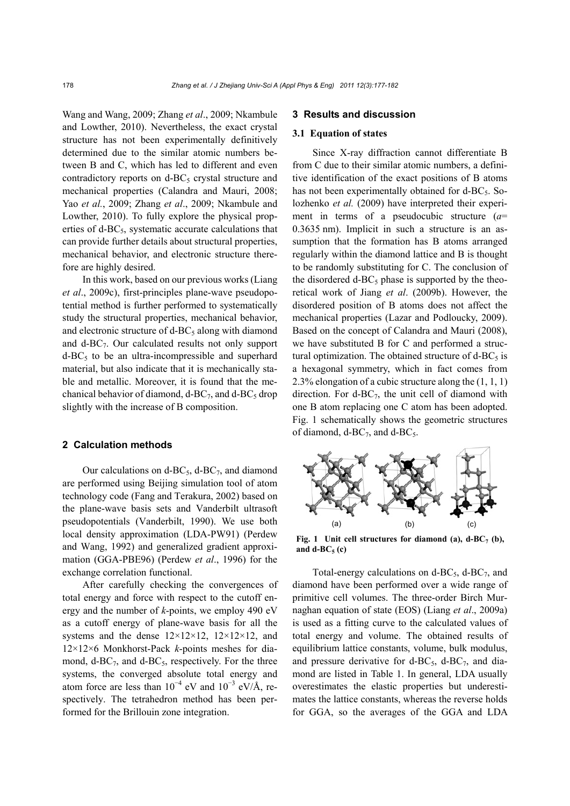Wang and Wang, 2009; Zhang *et al*., 2009; Nkambule and Lowther, 2010). Nevertheless, the exact crystal structure has not been experimentally definitively determined due to the similar atomic numbers between B and C, which has led to different and even contradictory reports on  $d$ -BC<sub>5</sub> crystal structure and mechanical properties (Calandra and Mauri, 2008; Yao *et al.*, 2009; Zhang *et al*., 2009; Nkambule and Lowther, 2010). To fully explore the physical properties of  $d$ -BC<sub>5</sub>, systematic accurate calculations that can provide further details about structural properties, mechanical behavior, and electronic structure therefore are highly desired.

In this work, based on our previous works (Liang *et al*., 2009c), first-principles plane-wave pseudopotential method is further performed to systematically study the structural properties, mechanical behavior, and electronic structure of  $d$ -BC<sub>5</sub> along with diamond and  $d$ -BC<sub>7</sub>. Our calculated results not only support  $d$ -BC<sub>5</sub> to be an ultra-incompressible and superhard material, but also indicate that it is mechanically stable and metallic. Moreover, it is found that the mechanical behavior of diamond,  $d$ -BC<sub>7</sub>, and  $d$ -BC<sub>5</sub> drop slightly with the increase of B composition.

## **2 Calculation methods**

Our calculations on d-BC $_5$ , d-BC $_7$ , and diamond are performed using Beijing simulation tool of atom technology code (Fang and Terakura, 2002) based on the plane-wave basis sets and Vanderbilt ultrasoft pseudopotentials (Vanderbilt, 1990). We use both local density approximation (LDA-PW91) (Perdew and Wang, 1992) and generalized gradient approximation (GGA-PBE96) (Perdew *et al*., 1996) for the exchange correlation functional.

After carefully checking the convergences of total energy and force with respect to the cutoff energy and the number of *k*-points, we employ 490 eV as a cutoff energy of plane-wave basis for all the systems and the dense  $12\times12\times12$ ,  $12\times12\times12$ , and 12×12×6 Monkhorst-Pack *k*-points meshes for diamond,  $d$ -BC $_7$ , and  $d$ -BC $_5$ , respectively. For the three systems, the converged absolute total energy and atom force are less than  $10^{-4}$  eV and  $10^{-3}$  eV/Å, respectively. The tetrahedron method has been performed for the Brillouin zone integration.

# **3 Results and discussion**

## **3.1 Equation of states**

Since X-ray diffraction cannot differentiate B from C due to their similar atomic numbers, a definitive identification of the exact positions of B atoms has not been experimentally obtained for  $d$ -BC<sub>5</sub>. Solozhenko *et al.* (2009) have interpreted their experiment in terms of a pseudocubic structure (*a*= 0.3635 nm). Implicit in such a structure is an assumption that the formation has B atoms arranged regularly within the diamond lattice and B is thought to be randomly substituting for C. The conclusion of the disordered  $d$ -BC<sub>5</sub> phase is supported by the theoretical work of Jiang *et al*. (2009b). However, the disordered position of B atoms does not affect the mechanical properties (Lazar and Podloucky, 2009). Based on the concept of Calandra and Mauri (2008), we have substituted B for C and performed a structural optimization. The obtained structure of  $d$ -BC<sub>5</sub> is a hexagonal symmetry, which in fact comes from 2.3% elongation of a cubic structure along the (1, 1, 1) direction. For  $d$ -BC<sub>7</sub>, the unit cell of diamond with one B atom replacing one C atom has been adopted. Fig. 1 schematically shows the geometric structures of diamond,  $d$ -BC<sub>7</sub>, and  $d$ -BC<sub>5</sub>.



Fig. 1 Unit cell structures for diamond (a),  $d-BC_7$  (b), and  $d-BC_5$  (c)

Total-energy calculations on  $d$ -BC<sub>5</sub>,  $d$ -BC<sub>7</sub>, and diamond have been performed over a wide range of primitive cell volumes. The three-order Birch Murnaghan equation of state (EOS) (Liang *et al*., 2009a) is used as a fitting curve to the calculated values of total energy and volume. The obtained results of equilibrium lattice constants, volume, bulk modulus, and pressure derivative for  $d$ -BC<sub>5</sub>,  $d$ -BC<sub>7</sub>, and diamond are listed in Table 1. In general, LDA usually overestimates the elastic properties but underestimates the lattice constants, whereas the reverse holds for GGA, so the averages of the GGA and LDA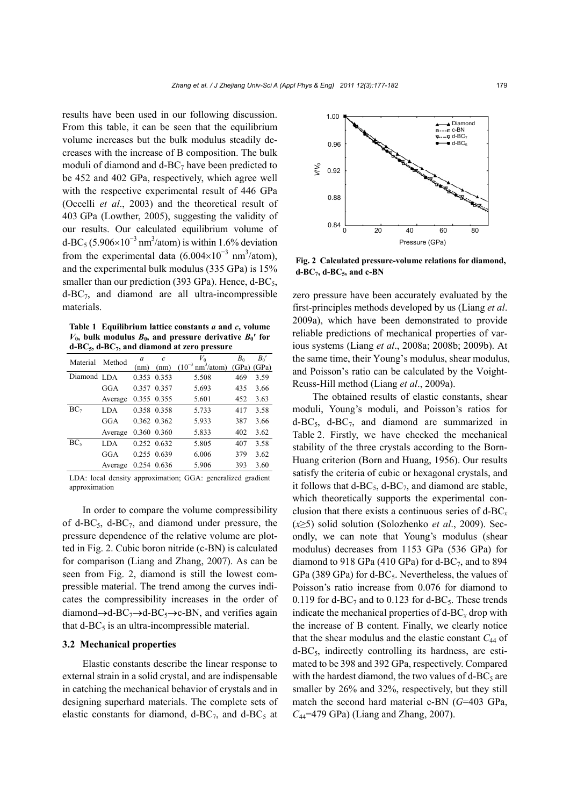results have been used in our following discussion. From this table, it can be seen that the equilibrium volume increases but the bulk modulus steadily decreases with the increase of B composition. The bulk moduli of diamond and  $d$ -BC<sub>7</sub> have been predicted to be 452 and 402 GPa, respectively, which agree well with the respective experimental result of 446 GPa (Occelli *et al*., 2003) and the theoretical result of 403 GPa (Lowther, 2005), suggesting the validity of our results. Our calculated equilibrium volume of d-BC<sub>5</sub> (5.906×10<sup>-3</sup> nm<sup>3</sup>/atom) is within 1.6% deviation from the experimental data  $(6.004\times10^{-3} \text{ nm}^3/\text{atom})$ , and the experimental bulk modulus (335 GPa) is 15% smaller than our prediction (393 GPa). Hence,  $d$ -BC<sub>5</sub>,  $d$ -BC<sub>7</sub>, and diamond are all ultra-incompressible materials.

**Table 1 Equilibrium lattice constants** *a* **and** *c***, volume**   $V_0$ , bulk modulus  $B_0$ , and pressure derivative  $B_0'$  for **d-BC5, d-BC7, and diamond at zero pressure**

| Material        | Method     | a     | $\mathcal{C}_{0}$ | $V_0$                                            | B <sub>0</sub> | $B_0'$ |
|-----------------|------------|-------|-------------------|--------------------------------------------------|----------------|--------|
|                 |            | (nm)  | (nm)              | $(10^{-3} \text{ nm}^3/\text{atom})$ (GPa) (GPa) |                |        |
| Diamond LDA     |            | 0.353 | 0.353             | 5.508                                            | 469            | 3.59   |
|                 | GGA        |       | 0.357 0.357       | 5.693                                            | 435            | 3.66   |
|                 | Average    |       | 0.355 0.355       | 5.601                                            | 452            | 3.63   |
| BC <sub>7</sub> | LDA.       |       | 0.358 0.358       | 5.733                                            | 417            | 3.58   |
|                 | GGA        |       | 0.362 0.362       | 5.933                                            | 387            | 3.66   |
|                 | Average    |       | 0.360 0.360       | 5.833                                            | 402            | 3.62   |
| BC <sub>5</sub> | <b>LDA</b> |       | 0.252 0.632       | 5.805                                            | 407            | 3.58   |
|                 | GGA        |       | 0.255 0.639       | 6.006                                            | 379            | 3.62   |
|                 | Average    |       | 0.254 0.636       | 5.906                                            | 393            | 3.60   |

LDA: local density approximation; GGA: generalized gradient approximation

In order to compare the volume compressibility of d-BC $_5$ , d-BC $_7$ , and diamond under pressure, the pressure dependence of the relative volume are plotted in Fig. 2. Cubic boron nitride (c-BN) is calculated for comparison (Liang and Zhang, 2007). As can be seen from Fig. 2, diamond is still the lowest compressible material. The trend among the curves indicates the compressibility increases in the order of diamond $\rightarrow$ d-BC<sub>7</sub> $\rightarrow$ d-BC<sub>5</sub> $\rightarrow$ c-BN, and verifies again that  $d$ -BC<sub>5</sub> is an ultra-incompressible material.

# **3.2 Mechanical properties**

Elastic constants describe the linear response to external strain in a solid crystal, and are indispensable in catching the mechanical behavior of crystals and in designing superhard materials. The complete sets of elastic constants for diamond,  $d$ -BC<sub>7</sub>, and  $d$ -BC<sub>5</sub> at



**Fig. 2 Calculated pressure-volume relations for diamond,**  $d$ -BC<sub>7</sub>,  $d$ -BC<sub>5</sub>, and c-BN

zero pressure have been accurately evaluated by the first-principles methods developed by us (Liang *et al*. 2009a), which have been demonstrated to provide reliable predictions of mechanical properties of various systems (Liang *et al*., 2008a; 2008b; 2009b). At the same time, their Young's modulus, shear modulus, and Poisson's ratio can be calculated by the Voight-Reuss-Hill method (Liang *et al*., 2009a).

The obtained results of elastic constants, shear moduli, Young's moduli, and Poisson's ratios for  $d-BC_5$ ,  $d-BC_7$ , and diamond are summarized in Table 2. Firstly, we have checked the mechanical stability of the three crystals according to the Born-Huang criterion (Born and Huang, 1956). Our results satisfy the criteria of cubic or hexagonal crystals, and it follows that  $d$ -BC<sub>5</sub>,  $d$ -BC<sub>7</sub>, and diamond are stable, which theoretically supports the experimental conclusion that there exists a continuous series of d-BC*<sup>x</sup>* (*x*≥5) solid solution (Solozhenko *et al*., 2009). Secondly, we can note that Young's modulus (shear modulus) decreases from 1153 GPa (536 GPa) for diamond to 918 GPa (410 GPa) for d-BC $_7$ , and to 894 GPa (389 GPa) for d-BC<sub>5</sub>. Nevertheless, the values of Poisson's ratio increase from 0.076 for diamond to 0.119 for d-BC<sub>7</sub> and to 0.123 for d-BC<sub>5</sub>. These trends indicate the mechanical properties of  $d$ -BC<sub>x</sub> drop with the increase of B content. Finally, we clearly notice that the shear modulus and the elastic constant  $C_{44}$  of  $d$ -BC<sub>5</sub>, indirectly controlling its hardness, are estimated to be 398 and 392 GPa, respectively. Compared with the hardest diamond, the two values of  $d$ -BC<sub>5</sub> are smaller by 26% and 32%, respectively, but they still match the second hard material c-BN (*G*=403 GPa, *C*44=479 GPa) (Liang and Zhang, 2007).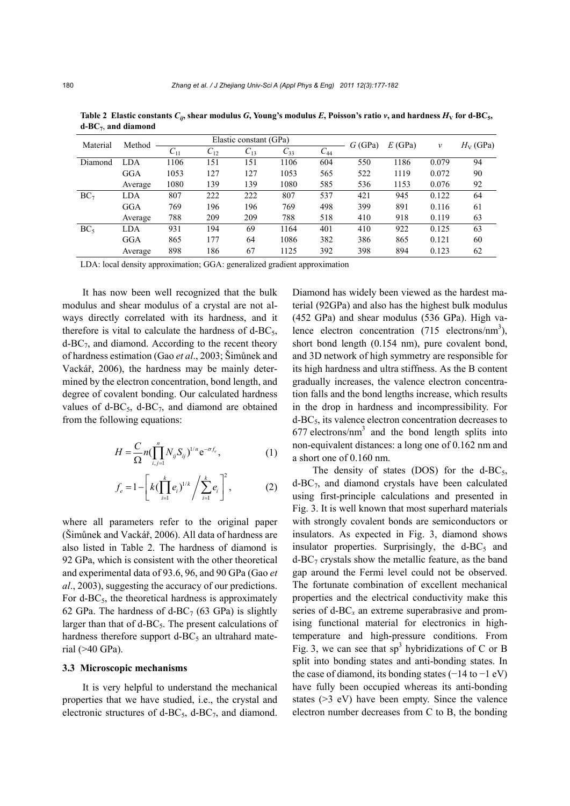| Material        | Method  | Elastic constant (GPa) |          |          |          | G(GPa)   | E(GPa) | v    | $H_V$ (GPa) |    |
|-----------------|---------|------------------------|----------|----------|----------|----------|--------|------|-------------|----|
|                 |         | $C_{11}$               | $C_{12}$ | $C_{13}$ | $C_{33}$ | $C_{44}$ |        |      |             |    |
| Diamond         | LDA     | 1106                   | 151      | 151      | 1106     | 604      | 550    | 1186 | 0.079       | 94 |
|                 | GGA     | 1053                   | 127      | 127      | 1053     | 565      | 522    | 1119 | 0.072       | 90 |
|                 | Average | 1080                   | 139      | 139      | 1080     | 585      | 536    | 1153 | 0.076       | 92 |
| BC <sub>7</sub> | LDA     | 807                    | 222      | 222      | 807      | 537      | 421    | 945  | 0.122       | 64 |
|                 | GGA     | 769                    | 196      | 196      | 769      | 498      | 399    | 891  | 0.116       | 61 |
|                 | Average | 788                    | 209      | 209      | 788      | 518      | 410    | 918  | 0.119       | 63 |
| BC <sub>5</sub> | LDA     | 931                    | 194      | 69       | 1164     | 401      | 410    | 922  | 0.125       | 63 |
|                 | GGA     | 865                    | 177      | 64       | 1086     | 382      | 386    | 865  | 0.121       | 60 |
|                 | Average | 898                    | 186      | 67       | 1125     | 392      | 398    | 894  | 0.123       | 62 |

Table 2 Elastic constants  $C_{ij}$ , shear modulus  $G$ , Young's modulus  $E$ , Poisson's ratio  $v$ , and hardness  $H_V$  for d-BC<sub>5</sub>, **d-BC7**, **and diamond**

LDA: local density approximation; GGA: generalized gradient approximation

It has now been well recognized that the bulk modulus and shear modulus of a crystal are not always directly correlated with its hardness, and it therefore is vital to calculate the hardness of  $d$ -BC<sub>5</sub>,  $d$ -BC<sub>7</sub>, and diamond. According to the recent theory of hardness estimation (Gao *et al*., 2003; Šimůnek and Vackář, 2006), the hardness may be mainly determined by the electron concentration, bond length, and degree of covalent bonding. Our calculated hardness values of  $d$ -BC<sub>5</sub>,  $d$ -BC<sub>7</sub>, and diamond are obtained from the following equations:

$$
H = \frac{C}{\Omega} n \left( \prod_{i,j=1}^{n} N_{ij} S_{ij} \right)^{1/n} e^{-\sigma f_e}, \qquad (1)
$$

$$
f_e = 1 - \left[ k \left( \prod_{i=1}^k e_i \right)^{1/k} / \sum_{i=1}^k e_i \right]^2, \tag{2}
$$

where all parameters refer to the original paper (Šimůnek and Vackář, 2006). All data of hardness are also listed in Table 2. The hardness of diamond is 92 GPa, which is consistent with the other theoretical and experimental data of 93.6, 96, and 90 GPa (Gao *et al*., 2003), suggesting the accuracy of our predictions. For  $d$ -BC<sub>5</sub>, the theoretical hardness is approximately 62 GPa. The hardness of d-BC $_7$  (63 GPa) is slightly larger than that of  $d$ -BC<sub>5</sub>. The present calculations of hardness therefore support  $d$ -BC<sub>5</sub> an ultrahard material (>40 GPa).

## **3.3 Microscopic mechanisms**

It is very helpful to understand the mechanical properties that we have studied, i.e., the crystal and electronic structures of d-BC $_5$ , d-BC $_7$ , and diamond.

Diamond has widely been viewed as the hardest material (92GPa) and also has the highest bulk modulus (452 GPa) and shear modulus (536 GPa). High valence electron concentration  $(715 \text{ electrons/nm}^3)$ , short bond length (0.154 nm), pure covalent bond, and 3D network of high symmetry are responsible for its high hardness and ultra stiffness. As the B content gradually increases, the valence electron concentration falls and the bond lengths increase, which results in the drop in hardness and incompressibility. For d-BC5, its valence electron concentration decreases to  $677$  electrons/nm<sup>3</sup> and the bond length splits into non-equivalent distances: a long one of 0.162 nm and a short one of 0.160 nm.

The density of states (DOS) for the d-BC<sub>5</sub>,  $d$ -BC<sub>7</sub>, and diamond crystals have been calculated using first-principle calculations and presented in Fig. 3. It is well known that most superhard materials with strongly covalent bonds are semiconductors or insulators. As expected in Fig. 3, diamond shows insulator properties. Surprisingly, the  $d-BC_5$  and  $d$ -BC<sub>7</sub> crystals show the metallic feature, as the band gap around the Fermi level could not be observed. The fortunate combination of excellent mechanical properties and the electrical conductivity make this series of d-BC*<sup>x</sup>* an extreme superabrasive and promising functional material for electronics in hightemperature and high-pressure conditions. From Fig. 3, we can see that  $sp<sup>3</sup>$  hybridizations of C or B split into bonding states and anti-bonding states. In the case of diamond, its bonding states  $(-14 \text{ to } -1 \text{ eV})$ have fully been occupied whereas its anti-bonding states (>3 eV) have been empty. Since the valence electron number decreases from C to B, the bonding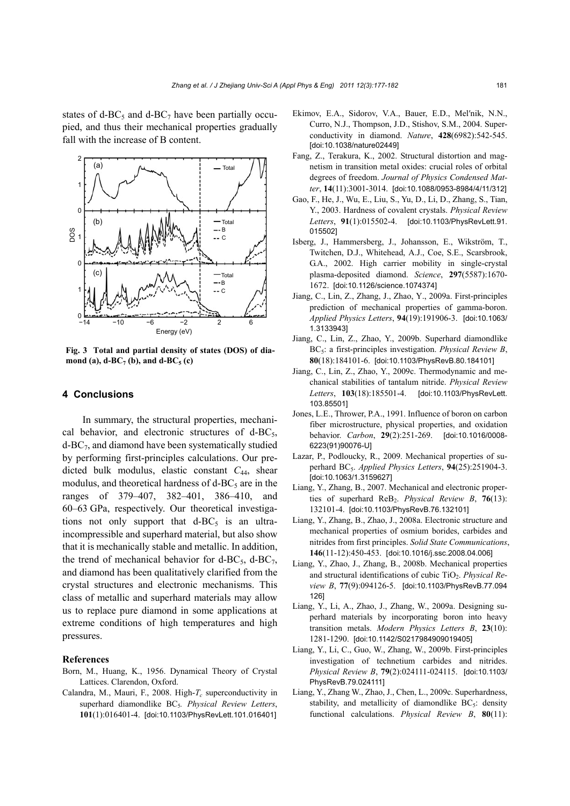states of d-BC<sub>5</sub> and d-BC<sub>7</sub> have been partially occupied, and thus their mechanical properties gradually fall with the increase of B content.



**Fig. 3 Total and partial density of states (DOS) of dia**mond (a),  $d$ -BC<sub>7</sub> (b), and  $d$ -BC<sub>5</sub> (c)

# **4 Conclusions**

In summary, the structural properties, mechanical behavior, and electronic structures of  $d-BC_5$ ,  $d$ -BC $<sub>7</sub>$ , and diamond have been systematically studied</sub> by performing first-principles calculations. Our predicted bulk modulus, elastic constant *C*44, shear modulus, and theoretical hardness of  $d$ -BC<sub>5</sub> are in the ranges of 379–407, 382–401, 386–410, and 60–63 GPa, respectively. Our theoretical investigations not only support that  $d-BC_5$  is an ultraincompressible and superhard material, but also show that it is mechanically stable and metallic. In addition, the trend of mechanical behavior for  $d$ -BC<sub>5</sub>,  $d$ -BC<sub>7</sub>, and diamond has been qualitatively clarified from the crystal structures and electronic mechanisms. This class of metallic and superhard materials may allow us to replace pure diamond in some applications at extreme conditions of high temperatures and high pressures.

#### **References**

- Born, M., Huang, K., 1956. Dynamical Theory of Crystal Lattices. Clarendon, Oxford.
- Calandra, M., Mauri, F., 2008. High- $T_c$  superconductivity in superhard diamondlike BC<sub>5</sub>. *Physical Review Letters*, **101**(1):016401-4. [doi:10.1103/PhysRevLett.101.016401]
- Ekimov, E.A., Sidorov, V.A., Bauer, E.D., Mel′nik, N.N., Curro, N.J., Thompson, J.D., Stishov, S.M., 2004. Superconductivity in diamond. *Nature*, **428**(6982):542-545. [doi:10.1038/nature02449]
- Fang, Z., Terakura, K., 2002. Structural distortion and magnetism in transition metal oxides: crucial roles of orbital degrees of freedom. *Journal of Physics Condensed Matter*, **14**(11):3001-3014. [doi:10.1088/0953-8984/4/11/312]
- Gao, F., He, J., Wu, E., Liu, S., Yu, D., Li, D., Zhang, S., Tian, Y., 2003. Hardness of covalent crystals. *Physical Review Letters*, **91**(1):015502-4. [doi:10.1103/PhysRevLett.91. 015502]
- Isberg, J., Hammersberg, J., Johansson, E., Wikström, T., Twitchen, D.J., Whitehead, A.J., Coe, S.E., Scarsbrook, G.A., 2002. High carrier mobility in single-crystal plasma-deposited diamond. *Science*, **297**(5587):1670- 1672. [doi:10.1126/science.1074374]
- Jiang, C., Lin, Z., Zhang, J., Zhao, Y., 2009a. First-principles prediction of mechanical properties of gamma-boron. *Applied Physics Letters*, **94**(19):191906-3. [doi:10.1063/ 1.3133943]
- Jiang, C., Lin, Z., Zhao, Y., 2009b. Superhard diamondlike BC5: a first-principles investigation. *Physical Review B*, **80**(18):184101-6. [doi:10.1103/PhysRevB.80.184101]
- Jiang, C., Lin, Z., Zhao, Y., 2009c. Thermodynamic and mechanical stabilities of tantalum nitride. *Physical Review Letters*, **103**(18):185501-4. [doi:10.1103/PhysRevLett. 103.85501]
- Jones, L.E., Thrower, P.A., 1991. Influence of boron on carbon fiber microstructure, physical properties, and oxidation behavior. *Carbon*, **29**(2):251-269. [doi:10.1016/0008- 6223(91)90076-U]
- Lazar, P., Podloucky, R., 2009. Mechanical properties of superhard BC5. *Applied Physics Letters*, **94**(25):251904-3. [doi:10.1063/1.3159627]
- Liang, Y., Zhang, B., 2007. Mechanical and electronic properties of superhard ReB<sub>2</sub>. *Physical Review B*, **76**(13): 132101-4. [doi:10.1103/PhysRevB.76.132101]
- Liang, Y., Zhang, B., Zhao, J., 2008a. Electronic structure and mechanical properties of osmium borides, carbides and nitrides from first principles. *Solid State Communications*, **146**(11-12):450-453. [doi:10.1016/j.ssc.2008.04.006]
- Liang, Y., Zhao, J., Zhang, B., 2008b. Mechanical properties and structural identifications of cubic TiO<sub>2</sub>. *Physical Review B*, **77**(9):094126-5. [doi:10.1103/PhysRevB.77.094 126]
- Liang, Y., Li, A., Zhao, J., Zhang, W., 2009a. Designing superhard materials by incorporating boron into heavy transition metals. *Modern Physics Letters B*, **23**(10): 1281-1290. [doi:10.1142/S0217984909019405]
- Liang, Y., Li, C., Guo, W., Zhang, W., 2009b. First-principles investigation of technetium carbides and nitrides. *Physical Review B*, **79**(2):024111-024115. [doi:10.1103/ PhysRevB.79.024111]
- Liang, Y., Zhang W., Zhao, J., Chen, L., 2009c. Superhardness, stability, and metallicity of diamondlike  $BC_5$ : density functional calculations. *Physical Review B*, **80**(11):